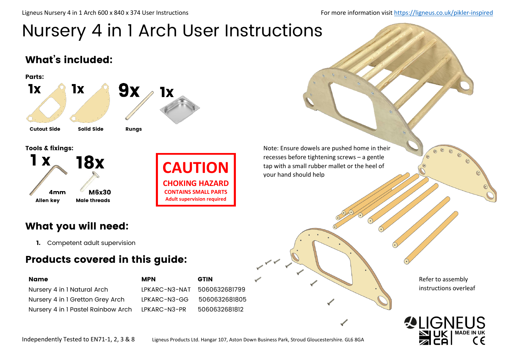Ligneus Nursery 4 in 1 Arch 600 x 840 x 374 User Instructions For more information visit<https://ligneus.co.uk/pikler-inspired>

# Nursery 4 in 1 Arch User Instructions

### What's included:



Tools & fixings:





Note: Ensure dowels are pushed home in their recesses before tightening screws – a gentle **CAUTION** tap with a small rubber mallet or the heel of

### What you will need:

1. Competent adult supervision

### Products covered in this guide:

| <b>Name</b>                        | <b>MPN</b>                  | <b>GTIN</b>   |
|------------------------------------|-----------------------------|---------------|
| Nursery 4 in 1 Natural Arch        | LPKARC-N3-NAT 5060632681799 |               |
| Nursery 4 in 1 Gretton Grey Arch   | LPKARC-N3-GG                | 5060632681805 |
| Nursery 4 in 1 Pastel Rainbow Arch | LPKARC-N3-PR                | 5060632681812 |

Refer to assembly instructions overleaf



Independently Tested to EN71-1, 2, 3 & 8 Ligneus Products Ltd. Hangar 107, Aston Down Business Park, Stroud Gloucestershire. GL6 8GA